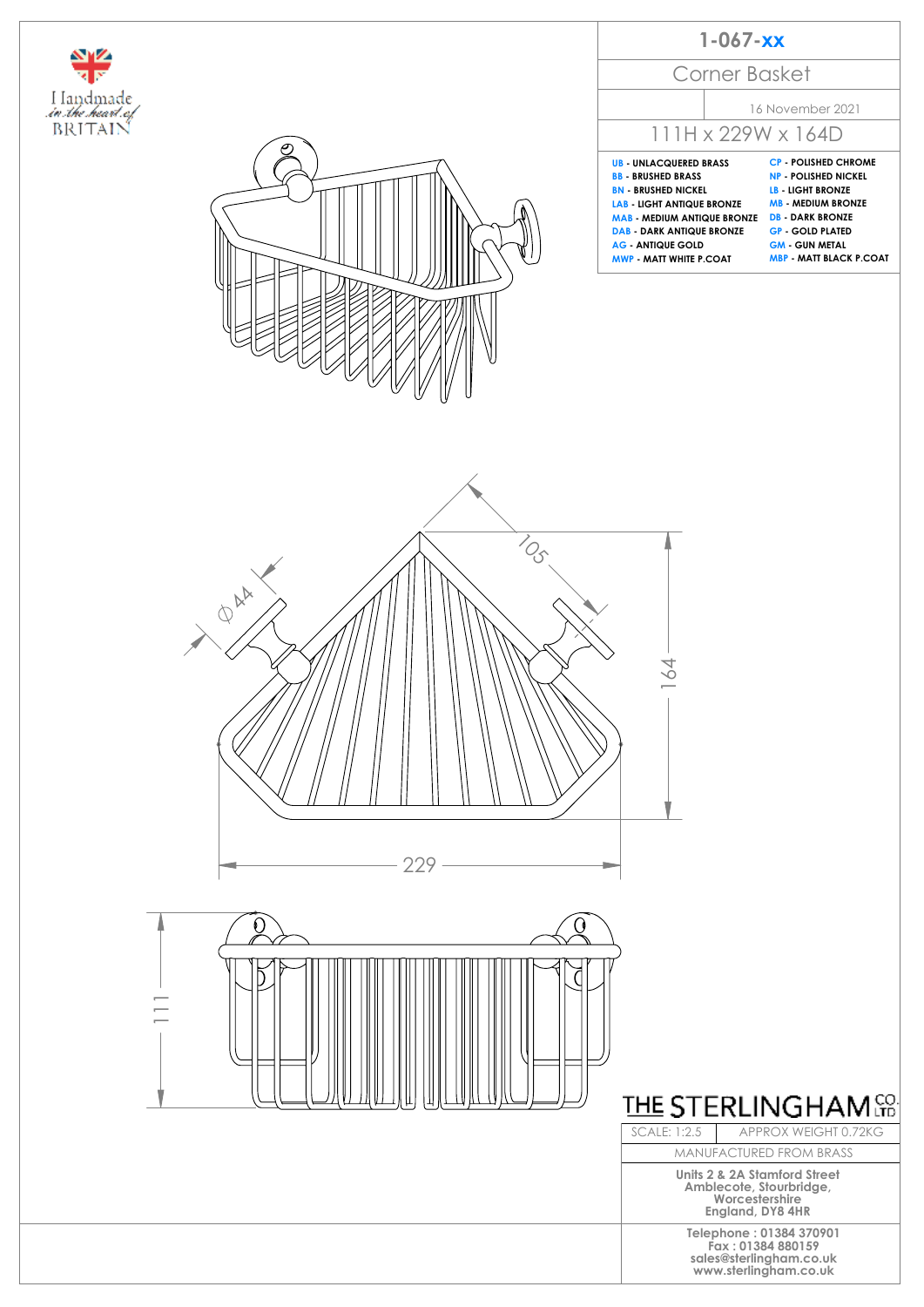